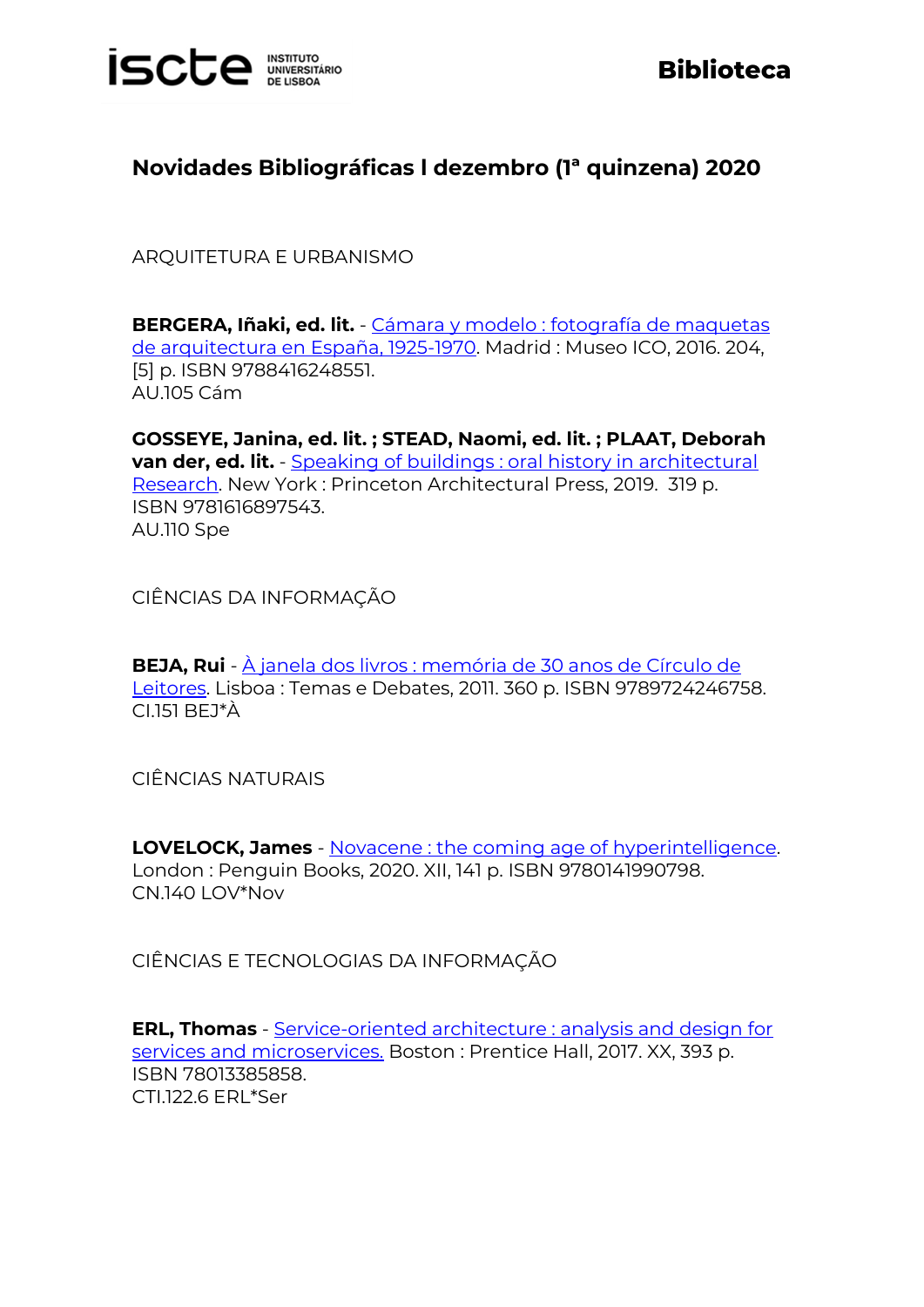

## **Novidades Bibliográficas l dezembro (1ª quinzena) 2020**

ARQUITETURA E URBANISMO

**BERGERA, Iñaki, ed. lit.** - [Cámara y modelo : fotografía de maquetas](https://catalogo.biblioteca.iscte-iul.pt/cgi-bin/koha/opac-detail.pl?biblionumber=107422)  [de arquitectura en España, 1925-1970.](https://catalogo.biblioteca.iscte-iul.pt/cgi-bin/koha/opac-detail.pl?biblionumber=107422) Madrid : Museo ICO, 2016. 204, [5] p. ISBN 9788416248551. AU.105 Cám

**GOSSEYE, Janina, ed. lit. ; STEAD, Naomi, ed. lit. ; PLAAT, Deborah van der, ed. lit.** - Speaking of buildings : oral history in architectural [Research.](https://catalogo.biblioteca.iscte-iul.pt/cgi-bin/koha/opac-detail.pl?biblionumber=108192) New York : Princeton Architectural Press, 2019. 319 p. ISBN 9781616897543. AU.110 Spe

CIÊNCIAS DA INFORMAÇÃO

**BEJA, Rui** - [À janela dos livros : memória de 30 anos de Círculo de](https://catalogo.biblioteca.iscte-iul.pt/cgi-bin/koha/opac-detail.pl?biblionumber=106897)  [Leitores.](https://catalogo.biblioteca.iscte-iul.pt/cgi-bin/koha/opac-detail.pl?biblionumber=106897) Lisboa : Temas e Debates, 2011. 360 p. ISBN 9789724246758. CI.151 BEJ\*À

CIÊNCIAS NATURAIS

**LOVELOCK, James** - [Novacene : the coming age of hyperintelligence.](https://catalogo.biblioteca.iscte-iul.pt/cgi-bin/koha/opac-detail.pl?biblionumber=107529) London : Penguin Books, 2020. XII, 141 p. ISBN 9780141990798. CN.140 LOV\*Nov

CIÊNCIAS E TECNOLOGIAS DA INFORMAÇÃO

**ERL, Thomas** - [Service-oriented architecture : analysis and design for](https://catalogo.biblioteca.iscte-iul.pt/cgi-bin/koha/opac-detail.pl?biblionumber=107590)  [services and microservices.](https://catalogo.biblioteca.iscte-iul.pt/cgi-bin/koha/opac-detail.pl?biblionumber=107590) Boston : Prentice Hall, 2017. XX, 393 p. ISBN 78013385858. CTI.122.6 ERL\*Ser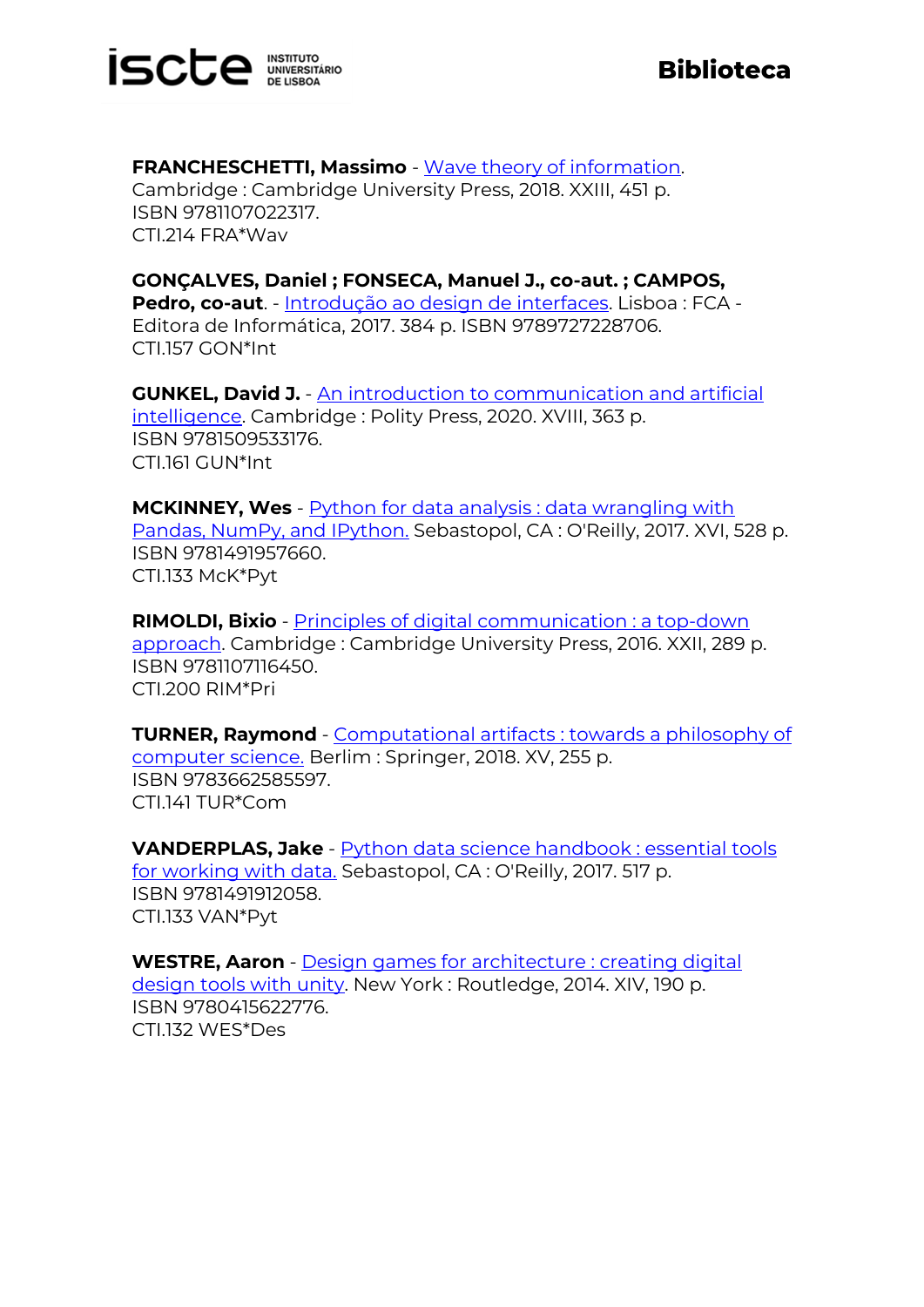

**FRANCHESCHETTI, Massimo** - [Wave theory of information.](https://catalogo.biblioteca.iscte-iul.pt/cgi-bin/koha/opac-detail.pl?biblionumber=107762) Cambridge : Cambridge University Press, 2018. XXIII, 451 p. ISBN 9781107022317. CTI.214 FRA\*Wav

**GONÇALVES, Daniel ; FONSECA, Manuel J., co-aut. ; CAMPOS, Pedro, co-aut**. - [Introdução ao design de interfaces.](https://catalogo.biblioteca.iscte-iul.pt/cgi-bin/koha/opac-detail.pl?biblionumber=107755) Lisboa : FCA - Editora de Informática, 2017. 384 p. ISBN 9789727228706. CTI.157 GON\*Int

**GUNKEL, David J.** - [An introduction to communication and artificial](https://catalogo.biblioteca.iscte-iul.pt/cgi-bin/koha/opac-detail.pl?biblionumber=107812)  [intelligence.](https://catalogo.biblioteca.iscte-iul.pt/cgi-bin/koha/opac-detail.pl?biblionumber=107812) Cambridge : Polity Press, 2020. XVIII, 363 p. ISBN 9781509533176. CTI.161 GUN\*Int

**MCKINNEY, Wes** - [Python for data analysis : data wrangling with](https://catalogo.biblioteca.iscte-iul.pt/cgi-bin/koha/opac-detail.pl?biblionumber=107592)  [Pandas, NumPy, and IPython.](https://catalogo.biblioteca.iscte-iul.pt/cgi-bin/koha/opac-detail.pl?biblionumber=107592) Sebastopol, CA : O'Reilly, 2017. XVI, 528 p. ISBN 9781491957660. CTI.133 McK\*Pyt

**RIMOLDI, Bixio** - [Principles of digital communication : a top-down](https://catalogo.biblioteca.iscte-iul.pt/cgi-bin/koha/opac-detail.pl?biblionumber=107763)  [approach.](https://catalogo.biblioteca.iscte-iul.pt/cgi-bin/koha/opac-detail.pl?biblionumber=107763) Cambridge : Cambridge University Press, 2016. XXII, 289 p. ISBN 9781107116450. CTI.200 RIM\*Pri

**TURNER, Raymond** - [Computational artifacts : towards a philosophy of](https://catalogo.biblioteca.iscte-iul.pt/cgi-bin/koha/opac-detail.pl?biblionumber=107527)  [computer science.](https://catalogo.biblioteca.iscte-iul.pt/cgi-bin/koha/opac-detail.pl?biblionumber=107527) Berlim : Springer, 2018. XV, 255 p. ISBN 9783662585597. CTI.141 TUR\*Com

**VANDERPLAS, Jake** - [Python data science handbook : essential tools](https://catalogo.biblioteca.iscte-iul.pt/cgi-bin/koha/opac-detail.pl?biblionumber=107593)  [for working with data.](https://catalogo.biblioteca.iscte-iul.pt/cgi-bin/koha/opac-detail.pl?biblionumber=107593) Sebastopol, CA : O'Reilly, 2017. 517 p. ISBN 9781491912058. CTI.133 VAN\*Pyt

**WESTRE, Aaron** - [Design games for architecture : creating digital](https://catalogo.biblioteca.iscte-iul.pt/cgi-bin/koha/opac-detail.pl?biblionumber=107583)  [design tools with unity.](https://catalogo.biblioteca.iscte-iul.pt/cgi-bin/koha/opac-detail.pl?biblionumber=107583) New York : Routledge, 2014. XIV, 190 p. ISBN 9780415622776. CTI.132 WES\*Des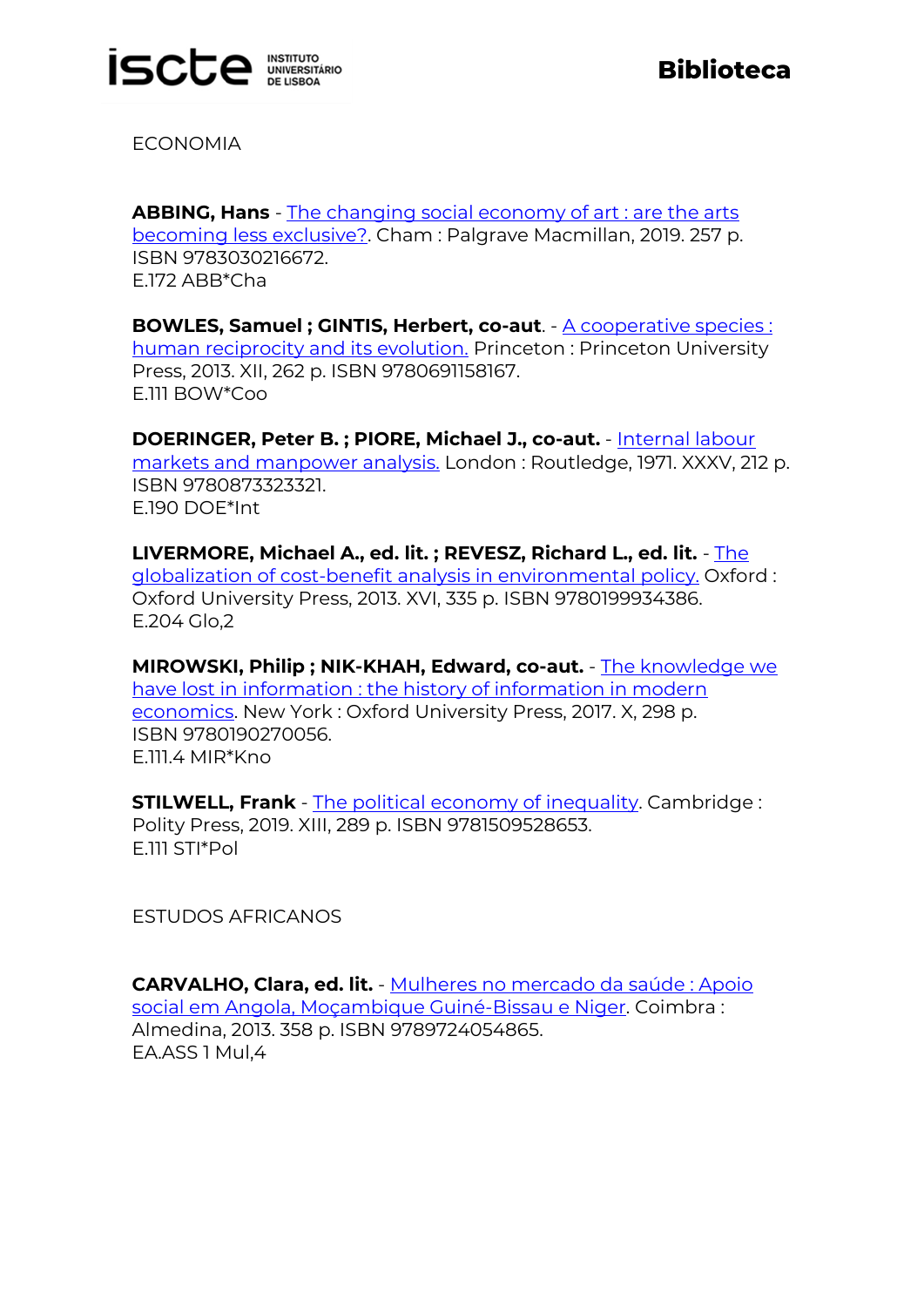

ECONOMIA

**ABBING, Hans** - [The changing social economy of art : are the arts](https://catalogo.biblioteca.iscte-iul.pt/cgi-bin/koha/opac-detail.pl?biblionumber=107953)  [becoming less exclusive?.](https://catalogo.biblioteca.iscte-iul.pt/cgi-bin/koha/opac-detail.pl?biblionumber=107953) Cham : Palgrave Macmillan, 2019. 257 p. ISBN 9783030216672. E.172 ABB\*Cha

**BOWLES, Samuel ; GINTIS, Herbert, co-aut**. - [A cooperative species :](https://catalogo.biblioteca.iscte-iul.pt/cgi-bin/koha/opac-detail.pl?biblionumber=107765)  [human reciprocity and its evolution.](https://catalogo.biblioteca.iscte-iul.pt/cgi-bin/koha/opac-detail.pl?biblionumber=107765) Princeton : Princeton University Press, 2013. XII, 262 p. ISBN 9780691158167. E.111 BOW\*Coo

**DOERINGER, Peter B. ; PIORE, Michael J., co-aut.** - [Internal labour](https://catalogo.biblioteca.iscte-iul.pt/cgi-bin/koha/opac-detail.pl?biblionumber=107350)  [markets and manpower analysis.](https://catalogo.biblioteca.iscte-iul.pt/cgi-bin/koha/opac-detail.pl?biblionumber=107350) London : Routledge, 1971. XXXV, 212 p. ISBN 9780873323321. E.190 DOE\*Int

**LIVERMORE, Michael A., ed. lit. ; REVESZ, Richard L., ed. lit.** - [The](https://catalogo.biblioteca.iscte-iul.pt/cgi-bin/koha/opac-detail.pl?biblionumber=107928)  [globalization of cost-benefit analysis in environmental policy.](https://catalogo.biblioteca.iscte-iul.pt/cgi-bin/koha/opac-detail.pl?biblionumber=107928) Oxford : Oxford University Press, 2013. XVI, 335 p. ISBN 9780199934386. E.204 Glo,2

**MIROWSKI, Philip ; NIK-KHAH, Edward, co-aut.** - [The knowledge we](https://catalogo.biblioteca.iscte-iul.pt/cgi-bin/koha/opac-detail.pl?biblionumber=107379)  [have lost in information : the history of information in modern](https://catalogo.biblioteca.iscte-iul.pt/cgi-bin/koha/opac-detail.pl?biblionumber=107379)  [economics.](https://catalogo.biblioteca.iscte-iul.pt/cgi-bin/koha/opac-detail.pl?biblionumber=107379) New York : Oxford University Press, 2017. X, 298 p. ISBN 9780190270056. E.111.4 MIR\*Kno

**STILWELL, Frank** - [The political economy of inequality.](https://catalogo.biblioteca.iscte-iul.pt/cgi-bin/koha/opac-detail.pl?biblionumber=107349) Cambridge: Polity Press, 2019. XIII, 289 p. ISBN 9781509528653. E.111 STI\*Pol

ESTUDOS AFRICANOS

**CARVALHO, Clara, ed. lit.** - [Mulheres no mercado da saúde : Apoio](https://catalogo.biblioteca.iscte-iul.pt/cgi-bin/koha/opac-detail.pl?biblionumber=106928)  [social em Angola, Moçambique Guiné-Bissau e Niger.](https://catalogo.biblioteca.iscte-iul.pt/cgi-bin/koha/opac-detail.pl?biblionumber=106928) Coimbra : Almedina, 2013. 358 p. ISBN 9789724054865. EA.ASS 1 Mul,4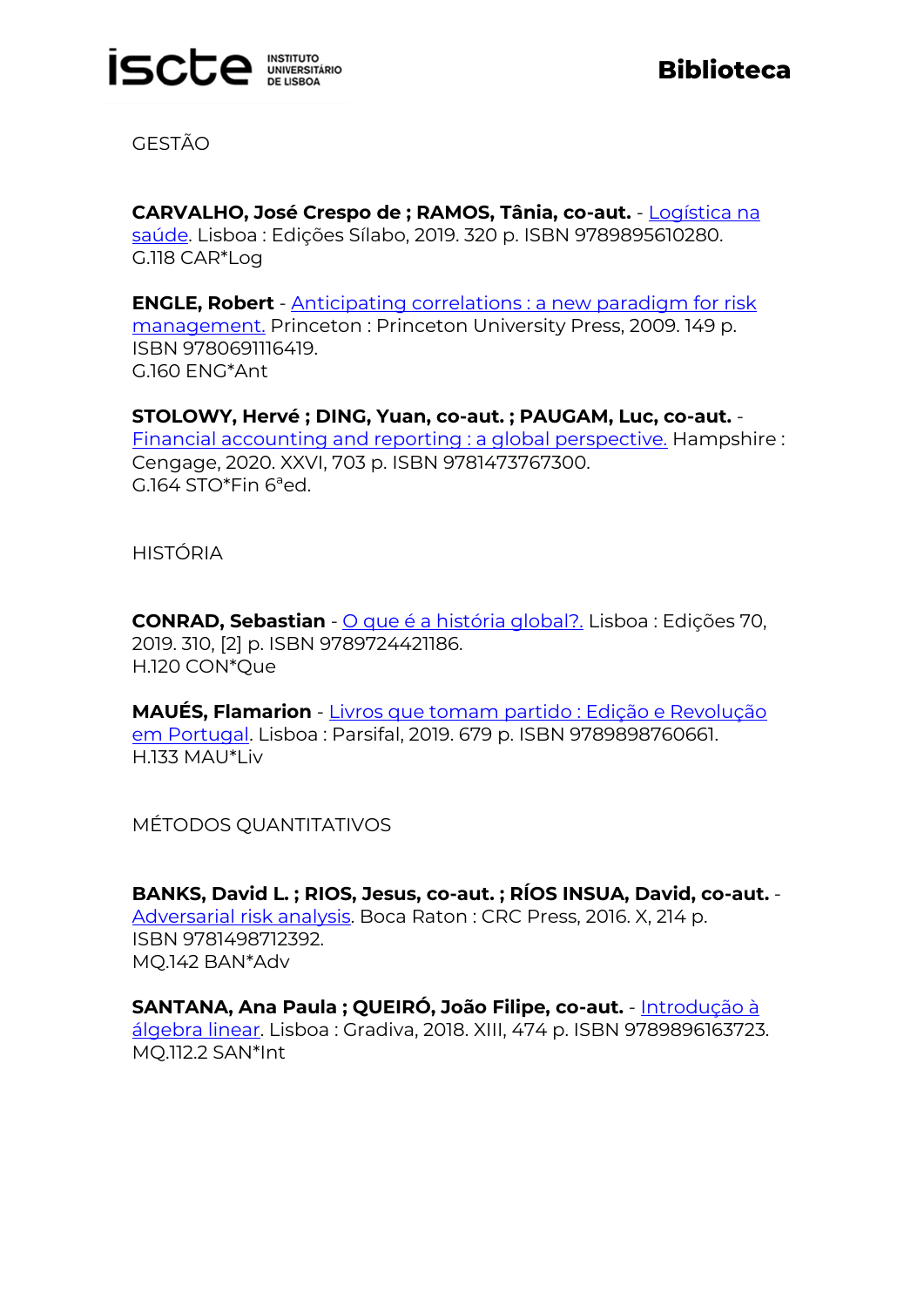

GESTÃO

**CARVALHO, José Crespo de ; RAMOS, Tânia, co-aut.** - [Logística na](https://catalogo.biblioteca.iscte-iul.pt/cgi-bin/koha/opac-detail.pl?biblionumber=107769)  [saúde.](https://catalogo.biblioteca.iscte-iul.pt/cgi-bin/koha/opac-detail.pl?biblionumber=107769) Lisboa : Edições Sílabo, 2019. 320 p. ISBN 9789895610280. G.118 CAR\*Log

**ENGLE, Robert** - [Anticipating correlations : a new paradigm for risk](https://catalogo.biblioteca.iscte-iul.pt/cgi-bin/koha/opac-detail.pl?biblionumber=106889)  [management.](https://catalogo.biblioteca.iscte-iul.pt/cgi-bin/koha/opac-detail.pl?biblionumber=106889) Princeton : Princeton University Press, 2009. 149 p. ISBN 9780691116419. G.160 ENG\*Ant

**STOLOWY, Hervé ; DING, Yuan, co-aut. ; PAUGAM, Luc, co-aut.** - [Financial accounting and reporting : a global perspective.](https://catalogo.biblioteca.iscte-iul.pt/cgi-bin/koha/opac-detail.pl?biblionumber=108175) Hampshire : Cengage, 2020. XXVI, 703 p. ISBN 9781473767300. G.164 STO\*Fin 6ªed.

HISTÓRIA

**CONRAD, Sebastian** - [O que é a história global?.](https://catalogo.biblioteca.iscte-iul.pt/cgi-bin/koha/opac-detail.pl?biblionumber=107980) Lisboa : Edições 70, 2019. 310, [2] p. ISBN 9789724421186. H.120 CON\*Que

**MAUÉS, Flamarion** - [Livros que tomam partido : Edição e Revolução](https://catalogo.biblioteca.iscte-iul.pt/cgi-bin/koha/opac-detail.pl?biblionumber=107848)  [em Portugal.](https://catalogo.biblioteca.iscte-iul.pt/cgi-bin/koha/opac-detail.pl?biblionumber=107848) Lisboa : Parsifal, 2019. 679 p. ISBN 9789898760661. H.133 MAU\*Liv

MÉTODOS QUANTITATIVOS

**BANKS, David L. ; RIOS, Jesus, co-aut. ; RÍOS INSUA, David, co-aut.** - [Adversarial risk analysis.](https://catalogo.biblioteca.iscte-iul.pt/cgi-bin/koha/opac-detail.pl?biblionumber=107586) Boca Raton : CRC Press, 2016. X, 214 p. ISBN 9781498712392. MQ.142 BAN\*Adv

**SANTANA, Ana Paula ; QUEIRÓ, João Filipe, co-aut.** - [Introdução à](https://catalogo.biblioteca.iscte-iul.pt/cgi-bin/koha/opac-detail.pl?biblionumber=107984)  [álgebra linear.](https://catalogo.biblioteca.iscte-iul.pt/cgi-bin/koha/opac-detail.pl?biblionumber=107984) Lisboa : Gradiva, 2018. XIII, 474 p. ISBN 9789896163723. MQ.112.2 SAN\*Int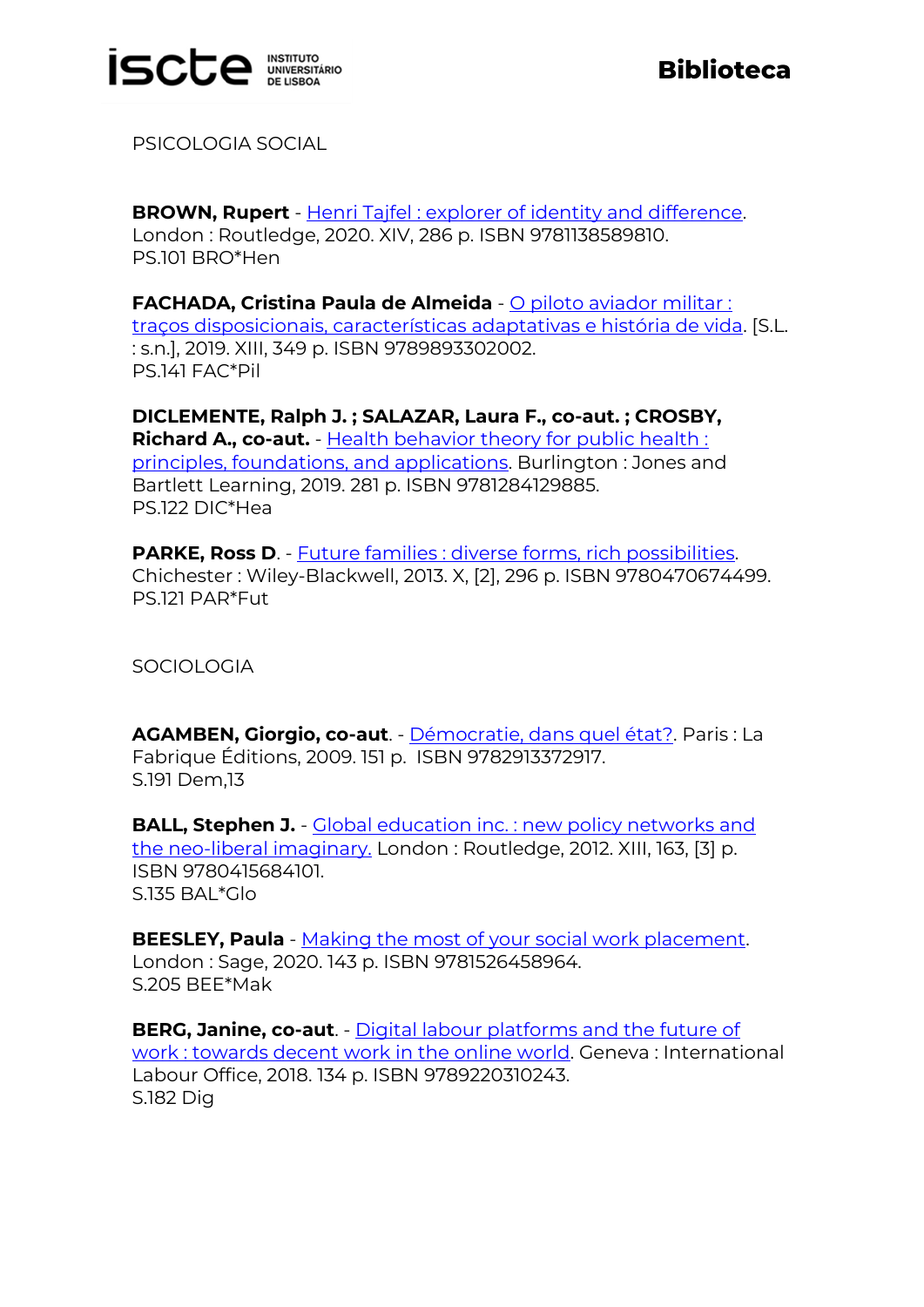

PSICOLOGIA SOCIAL

**BROWN, Rupert** - [Henri Tajfel : explorer of identity and difference.](https://catalogo.biblioteca.iscte-iul.pt/cgi-bin/koha/opac-detail.pl?biblionumber=107746) London : Routledge, 2020. XIV, 286 p. ISBN 9781138589810. PS.101 BRO\*Hen

**FACHADA, Cristina Paula de Almeida** - [O piloto aviador militar :](https://catalogo.biblioteca.iscte-iul.pt/cgi-bin/koha/opac-detail.pl?biblionumber=107620)  [traços disposicionais, características adaptativas e história de vida.](https://catalogo.biblioteca.iscte-iul.pt/cgi-bin/koha/opac-detail.pl?biblionumber=107620) [S.L. : s.n.], 2019. XIII, 349 p. ISBN 9789893302002. PS.141 FAC\*Pil

**DICLEMENTE, Ralph J. ; SALAZAR, Laura F., co-aut. ; CROSBY, Richard A., co-aut.** - [Health behavior theory for public health :](https://catalogo.biblioteca.iscte-iul.pt/cgi-bin/koha/opac-detail.pl?biblionumber=107855)  [principles, foundations, and applications.](https://catalogo.biblioteca.iscte-iul.pt/cgi-bin/koha/opac-detail.pl?biblionumber=107855) Burlington : Jones and Bartlett Learning, 2019. 281 p. ISBN 9781284129885. PS.122 DIC\*Hea

**PARKE, Ross D**. - [Future families : diverse forms, rich possibilities.](https://catalogo.biblioteca.iscte-iul.pt/cgi-bin/koha/opac-detail.pl?biblionumber=107344) Chichester : Wiley-Blackwell, 2013. X, [2], 296 p. ISBN 9780470674499. PS.121 PAR\*Fut

**SOCIOLOGIA** 

**AGAMBEN, Giorgio, co-aut**. - [Démocratie, dans quel état?.](https://catalogo.biblioteca.iscte-iul.pt/cgi-bin/koha/opac-detail.pl?biblionumber=107530) Paris : La Fabrique Éditions, 2009. 151 p. ISBN 9782913372917. S.191 Dem,13

**BALL, Stephen J.** - Global education inc. : new policy networks and [the neo-liberal imaginary.](https://catalogo.biblioteca.iscte-iul.pt/cgi-bin/koha/opac-detail.pl?biblionumber=107747) London : Routledge, 2012. XIII, 163, [3] p. ISBN 9780415684101. S.135 BAL\*Glo

**BEESLEY, Paula** - [Making the most of your social work placement.](https://catalogo.biblioteca.iscte-iul.pt/cgi-bin/koha/opac-detail.pl?biblionumber=107623) London : Sage, 2020. 143 p. ISBN 9781526458964. S.205 BEE\*Mak

**BERG, Janine, co-aut**. - [Digital labour platforms and the future of](https://catalogo.biblioteca.iscte-iul.pt/cgi-bin/koha/opac-detail.pl?biblionumber=107234)  [work : towards decent work in the online world.](https://catalogo.biblioteca.iscte-iul.pt/cgi-bin/koha/opac-detail.pl?biblionumber=107234) Geneva : International Labour Office, 2018. 134 p. ISBN 9789220310243. S.182 Dig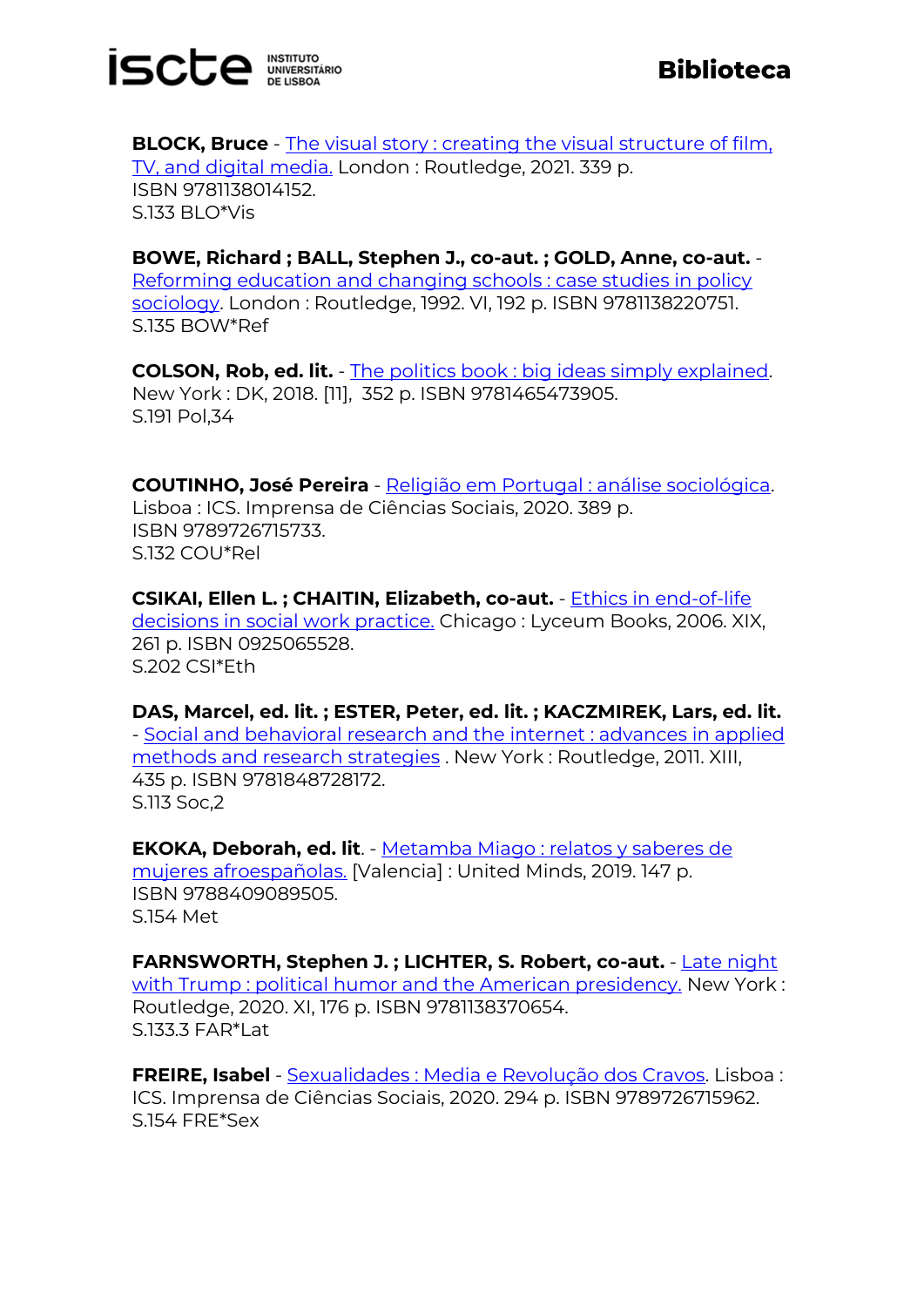

**BLOCK, Bruce** - The visual story : creating the visual structure of film, [TV, and digital media.](https://catalogo.biblioteca.iscte-iul.pt/cgi-bin/koha/opac-detail.pl?biblionumber=107794) London : Routledge, 2021. 339 p. ISBN 9781138014152. S.133 BLO\*Vis

**BOWE, Richard ; BALL, Stephen J., co-aut. ; GOLD, Anne, co-aut.** - [Reforming education and changing schools : case studies in policy](https://catalogo.biblioteca.iscte-iul.pt/cgi-bin/koha/opac-detail.pl?biblionumber=107748)  [sociology.](https://catalogo.biblioteca.iscte-iul.pt/cgi-bin/koha/opac-detail.pl?biblionumber=107748) London : Routledge, 1992. VI, 192 p. ISBN 9781138220751. S.135 BOW\*Ref

**COLSON, Rob, ed. lit.** - [The politics book : big ideas simply explained.](https://catalogo.biblioteca.iscte-iul.pt/cgi-bin/koha/opac-detail.pl?biblionumber=107545) New York : DK, 2018. [11], 352 p. ISBN 9781465473905. S.191 Pol,34

**COUTINHO, José Pereira** - [Religião em Portugal : análise sociológica.](https://catalogo.biblioteca.iscte-iul.pt/cgi-bin/koha/opac-detail.pl?biblionumber=107935) Lisboa : ICS. Imprensa de Ciências Sociais, 2020. 389 p. ISBN 9789726715733. S.132 COU\*Rel

**CSIKAI, Ellen L. ; CHAITIN, Elizabeth, co-aut.** - [Ethics in end-of-life](https://catalogo.biblioteca.iscte-iul.pt/cgi-bin/koha/opac-detail.pl?biblionumber=107549)  [decisions in social work practice.](https://catalogo.biblioteca.iscte-iul.pt/cgi-bin/koha/opac-detail.pl?biblionumber=107549) Chicago : Lyceum Books, 2006. XIX, 261 p. ISBN 0925065528. S.202 CSI\*Eth

## **DAS, Marcel, ed. lit. ; ESTER, Peter, ed. lit. ; KACZMIREK, Lars, ed. lit.**

- [Social and behavioral research and the internet](https://catalogo.biblioteca.iscte-iul.pt/cgi-bin/koha/opac-detail.pl?biblionumber=107750) : advances in applied [methods and research strategies](https://catalogo.biblioteca.iscte-iul.pt/cgi-bin/koha/opac-detail.pl?biblionumber=107750) . New York : Routledge, 2011. XIII, 435 p. ISBN 9781848728172. S.113 Soc,2

**EKOKA, Deborah, ed. lit**. - [Metamba Miago : relatos y saberes de](https://catalogo.biblioteca.iscte-iul.pt/cgi-bin/koha/opac-detail.pl?biblionumber=107160)  [mujeres afroespañolas.](https://catalogo.biblioteca.iscte-iul.pt/cgi-bin/koha/opac-detail.pl?biblionumber=107160) [Valencia] : United Minds, 2019. 147 p. ISBN 9788409089505. S.154 Met

**FARNSWORTH, Stephen J. ; LICHTER, S. Robert, co-aut.** - [Late night](https://catalogo.biblioteca.iscte-iul.pt/cgi-bin/koha/opac-detail.pl?biblionumber=107584)  [with Trump : political humor and the American presidency.](https://catalogo.biblioteca.iscte-iul.pt/cgi-bin/koha/opac-detail.pl?biblionumber=107584) New York : Routledge, 2020. XI, 176 p. ISBN 9781138370654. S.133.3 FAR\*Lat

**FREIRE, Isabel** - [Sexualidades : Media e Revolução dos Cravos.](https://catalogo.biblioteca.iscte-iul.pt/cgi-bin/koha/opac-detail.pl?biblionumber=107937) Lisboa : ICS. Imprensa de Ciências Sociais, 2020. 294 p. ISBN 9789726715962. S.154 FRE\*Sex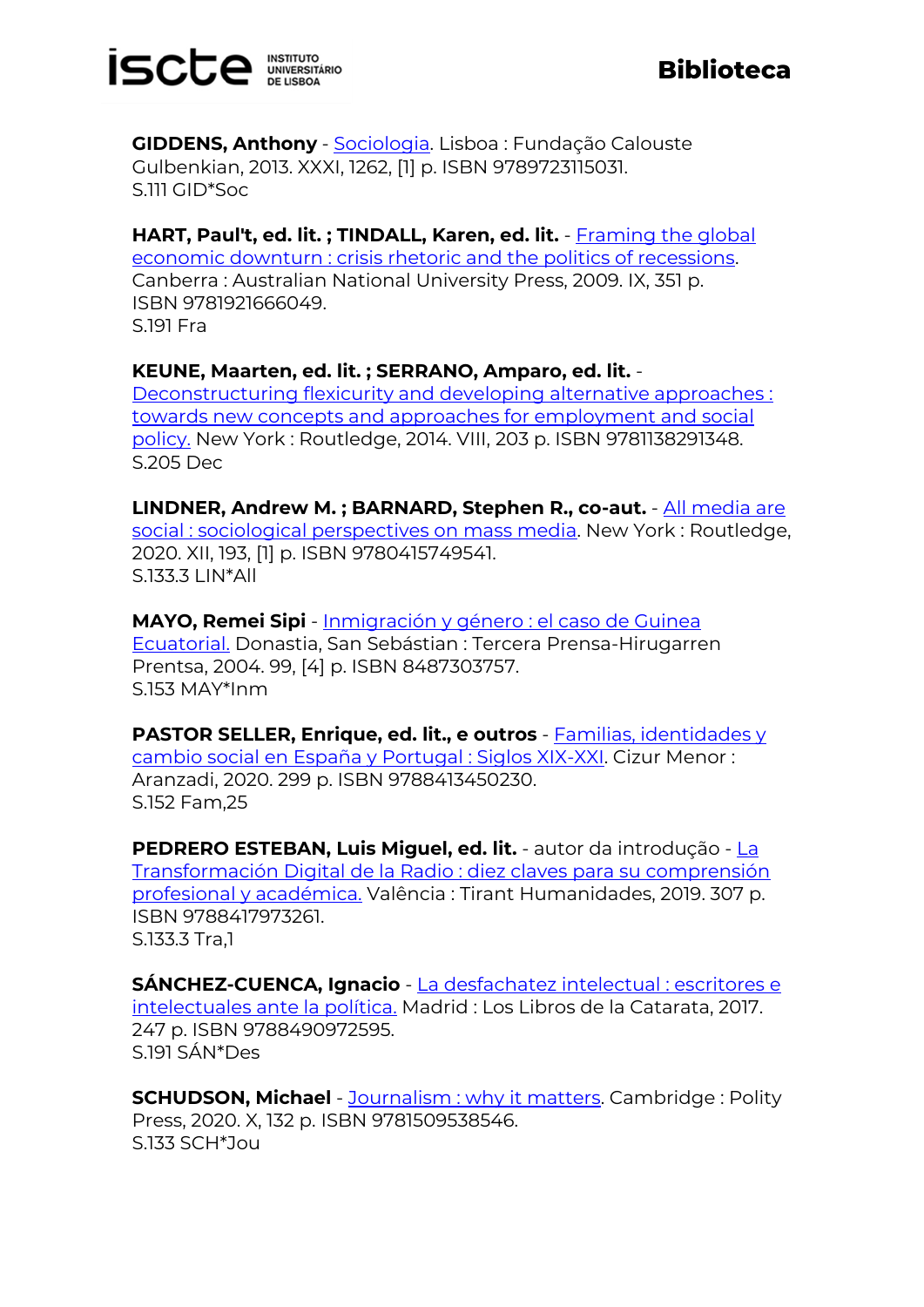

**GIDDENS, Anthony** - [Sociologia.](https://catalogo.biblioteca.iscte-iul.pt/cgi-bin/koha/opac-detail.pl?biblionumber=107790) Lisboa : Fundação Calouste Gulbenkian, 2013. XXXI, 1262, [1] p. ISBN 9789723115031. S.111 GID\*Soc

**HART, Paul't, ed. lit. ; TINDALL, Karen, ed. lit.** - [Framing the global](https://catalogo.biblioteca.iscte-iul.pt/cgi-bin/koha/opac-detail.pl?biblionumber=108121)  [economic downturn : crisis rhetoric and the politics of recessions.](https://catalogo.biblioteca.iscte-iul.pt/cgi-bin/koha/opac-detail.pl?biblionumber=108121) Canberra : Australian National University Press, 2009. IX, 351 p. ISBN 9781921666049. S.191 Fra

## **KEUNE, Maarten, ed. lit. ; SERRANO, Amparo, ed. lit.** -

[Deconstructuring flexicurity and developing](https://catalogo.biblioteca.iscte-iul.pt/cgi-bin/koha/opac-detail.pl?biblionumber=107354) alternative approaches : [towards new concepts and approaches for employment and social](https://catalogo.biblioteca.iscte-iul.pt/cgi-bin/koha/opac-detail.pl?biblionumber=107354)  [policy.](https://catalogo.biblioteca.iscte-iul.pt/cgi-bin/koha/opac-detail.pl?biblionumber=107354) New York : Routledge, 2014. VIII, 203 p. ISBN 9781138291348. S.205 Dec

**LINDNER, Andrew M. ; BARNARD, Stephen R., co-aut.** - [All media are](https://catalogo.biblioteca.iscte-iul.pt/cgi-bin/koha/opac-detail.pl?biblionumber=107751)  [social : sociological perspectives on mass media.](https://catalogo.biblioteca.iscte-iul.pt/cgi-bin/koha/opac-detail.pl?biblionumber=107751) New York : Routledge, 2020. XII, 193, [1] p. ISBN 9780415749541.  $S.133.3$  LIN\*All

**MAYO, Remei Sipi** - [Inmigración y género : el caso de Guinea](https://catalogo.biblioteca.iscte-iul.pt/cgi-bin/koha/opac-detail.pl?biblionumber=107161)  [Ecuatorial.](https://catalogo.biblioteca.iscte-iul.pt/cgi-bin/koha/opac-detail.pl?biblionumber=107161) Donastia, San Sebástian : Tercera Prensa-Hirugarren Prentsa, 2004. 99, [4] p. ISBN 8487303757. S.153 MAY\*Inm

**PASTOR SELLER, Enrique, ed. lit., e outros** - [Familias, identidades y](https://catalogo.biblioteca.iscte-iul.pt/cgi-bin/koha/opac-detail.pl?biblionumber=108069)  [cambio social en España y Portugal : Siglos XIX-XXI.](https://catalogo.biblioteca.iscte-iul.pt/cgi-bin/koha/opac-detail.pl?biblionumber=108069) Cizur Menor : Aranzadi, 2020. 299 p. ISBN 9788413450230. S.152 Fam,25

**PEDRERO ESTEBAN, Luis Miguel, ed. lit.** - autor da introdução - [La](https://catalogo.biblioteca.iscte-iul.pt/cgi-bin/koha/opac-detail.pl?biblionumber=107743)  [Transformación Digital de la Radio : diez claves para su comprensión](https://catalogo.biblioteca.iscte-iul.pt/cgi-bin/koha/opac-detail.pl?biblionumber=107743)  [profesional y académica.](https://catalogo.biblioteca.iscte-iul.pt/cgi-bin/koha/opac-detail.pl?biblionumber=107743) Valência : Tirant Humanidades, 2019. 307 p. ISBN 9788417973261. S.133.3 Tra,1

**SÁNCHEZ-CUENCA, Ignacio** - [La desfachatez intelectual : escritores e](https://catalogo.biblioteca.iscte-iul.pt/cgi-bin/koha/opac-detail.pl?biblionumber=107419)  [intelectuales ante la política.](https://catalogo.biblioteca.iscte-iul.pt/cgi-bin/koha/opac-detail.pl?biblionumber=107419) Madrid : Los Libros de la Catarata, 2017. 247 p. ISBN 9788490972595. S.191 SÁN\*Des

**SCHUDSON, Michael** - **Journalism : why it matters**. Cambridge : Polity Press, 2020. X, 132 p. ISBN 9781509538546. S.133 SCH\*Jou